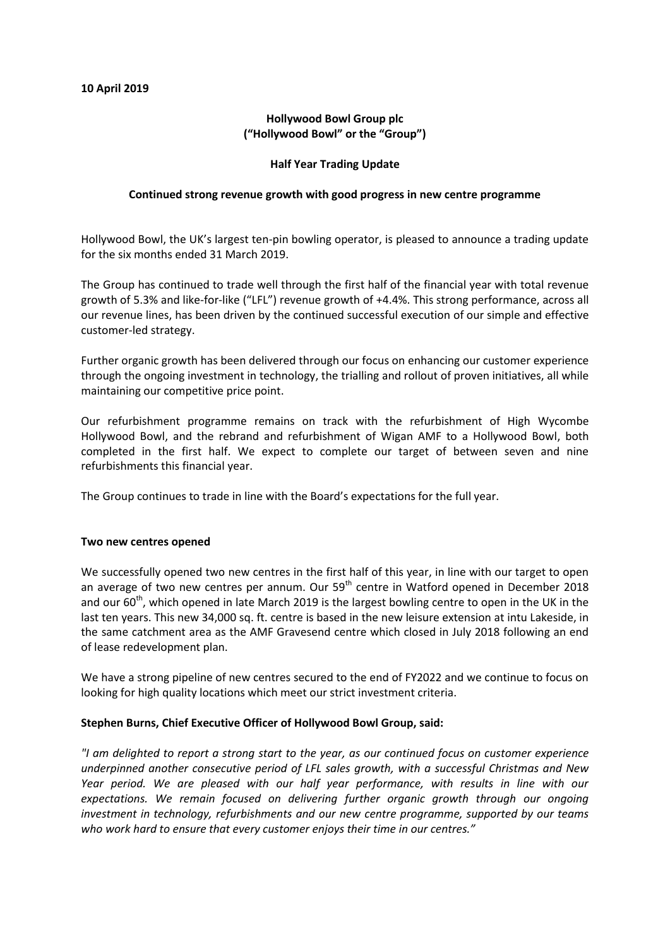# **Hollywood Bowl Group plc ("Hollywood Bowl" or the "Group")**

### **Half Year Trading Update**

## **Continued strong revenue growth with good progress in new centre programme**

Hollywood Bowl, the UK's largest ten-pin bowling operator, is pleased to announce a trading update for the six months ended 31 March 2019.

The Group has continued to trade well through the first half of the financial year with total revenue growth of 5.3% and like-for-like ("LFL") revenue growth of +4.4%. This strong performance, across all our revenue lines, has been driven by the continued successful execution of our simple and effective customer-led strategy.

Further organic growth has been delivered through our focus on enhancing our customer experience through the ongoing investment in technology, the trialling and rollout of proven initiatives, all while maintaining our competitive price point.

Our refurbishment programme remains on track with the refurbishment of High Wycombe Hollywood Bowl, and the rebrand and refurbishment of Wigan AMF to a Hollywood Bowl, both completed in the first half. We expect to complete our target of between seven and nine refurbishments this financial year.

The Group continues to trade in line with the Board's expectations for the full year.

### **Two new centres opened**

We successfully opened two new centres in the first half of this year, in line with our target to open an average of two new centres per annum. Our 59<sup>th</sup> centre in Watford opened in December 2018 and our  $60^{th}$ , which opened in late March 2019 is the largest bowling centre to open in the UK in the last ten years. This new 34,000 sq. ft. centre is based in the new leisure extension at intu Lakeside, in the same catchment area as the AMF Gravesend centre which closed in July 2018 following an end of lease redevelopment plan.

We have a strong pipeline of new centres secured to the end of FY2022 and we continue to focus on looking for high quality locations which meet our strict investment criteria.

### **Stephen Burns, Chief Executive Officer of Hollywood Bowl Group, said:**

*"I am delighted to report a strong start to the year, as our continued focus on customer experience underpinned another consecutive period of LFL sales growth, with a successful Christmas and New Year period. We are pleased with our half year performance, with results in line with our expectations. We remain focused on delivering further organic growth through our ongoing investment in technology, refurbishments and our new centre programme, supported by our teams who work hard to ensure that every customer enjoys their time in our centres."*